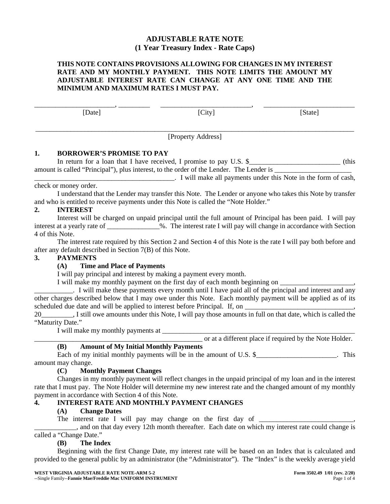# **ADJUSTABLE RATE NOTE (1 Year Treasury Index - Rate Caps)**

### **THIS NOTE CONTAINS PROVISIONS ALLOWING FOR CHANGES IN MY INTEREST RATE AND MY MONTHLY PAYMENT. THIS NOTE LIMITS THE AMOUNT MY ADJUSTABLE INTEREST RATE CAN CHANGE AT ANY ONE TIME AND THE MINIMUM AND MAXIMUM RATES I MUST PAY.**

\_\_\_\_\_\_\_\_\_\_\_\_\_\_\_\_\_\_\_\_\_\_\_, \_\_\_\_\_\_\_\_\_ \_\_\_\_\_\_\_\_\_\_\_\_\_\_\_\_\_\_\_\_\_\_\_\_\_\_, \_\_\_\_\_\_\_\_\_\_\_\_\_\_\_\_\_\_\_\_\_\_\_\_\_\_

[Date] [City] [State]

\_\_\_\_\_\_\_\_\_\_\_\_\_\_\_\_\_\_\_\_\_\_\_\_\_\_\_\_\_\_\_\_\_\_\_\_\_\_\_\_\_\_\_\_\_\_\_\_\_\_\_\_\_\_\_\_\_\_\_\_\_\_\_\_\_\_\_\_\_\_\_\_\_\_\_\_\_\_\_\_\_\_\_\_\_\_\_\_\_\_\_ [Property Address]

# **1. BORROWER'S PROMISE TO PAY**

In return for a loan that I have received, I promise to pay U.S. \$\_\_\_\_\_\_\_\_\_\_\_\_\_\_\_\_\_\_\_\_\_\_\_\_\_\_\_\_\_\_ (this amount is called "Principal"), plus interest, to the order of the Lender. The Lender is

\_\_\_\_\_\_\_\_\_\_\_\_\_\_\_\_\_\_\_\_\_\_\_\_\_\_\_\_\_\_\_\_\_\_\_\_\_\_\_\_. I will make all payments under this Note in the form of cash, check or money order.

I understand that the Lender may transfer this Note. The Lender or anyone who takes this Note by transfer and who is entitled to receive payments under this Note is called the "Note Holder."

# **2. INTEREST**

Interest will be charged on unpaid principal until the full amount of Principal has been paid. I will pay interest at a yearly rate of \_\_\_\_\_\_\_\_\_\_\_\_\_\_\_%. The interest rate I will pay will change in accordance with Section 4 of this Note.

The interest rate required by this Section 2 and Section 4 of this Note is the rate I will pay both before and after any default described in Section 7(B) of this Note.

# **3. PAYMENTS**

# **(A) Time and Place of Payments**

I will pay principal and interest by making a payment every month.

I will make my monthly payment on the first day of each month beginning on \_\_\_\_\_\_\_\_\_\_\_\_\_\_\_\_\_\_\_\_\_,

\_\_\_\_\_\_\_\_\_\_\_. I will make these payments every month until I have paid all of the principal and interest and any other charges described below that I may owe under this Note. Each monthly payment will be applied as of its scheduled due date and will be applied to interest before Principal. If, on

20\_\_\_\_\_\_\_\_\_, I still owe amounts under this Note, I will pay those amounts in full on that date, which is called the "Maturity Date."

I will make my monthly payments at

\_\_\_\_\_\_\_\_\_\_\_\_\_\_\_\_\_\_\_\_\_\_\_\_\_\_\_\_\_\_\_\_\_\_\_\_\_\_\_\_\_\_\_\_\_\_\_\_ or at a different place if required by the Note Holder.

# **(B) Amount of My Initial Monthly Payments**

Each of my initial monthly payments will be in the amount of U.S.  $\frac{1}{2}$   $\frac{1}{2}$   $\frac{1}{2}$   $\frac{1}{2}$   $\frac{1}{2}$   $\frac{1}{2}$   $\frac{1}{2}$   $\frac{1}{2}$   $\frac{1}{2}$   $\frac{1}{2}$   $\frac{1}{2}$   $\frac{1}{2}$   $\frac{1}{2}$   $\frac{1}{2}$   $\frac{1}{2}$   $\frac{1$ amount may change.

# **(C) Monthly Payment Changes**

Changes in my monthly payment will reflect changes in the unpaid principal of my loan and in the interest rate that I must pay. The Note Holder will determine my new interest rate and the changed amount of my monthly payment in accordance with Section 4 of this Note.

# **4. INTEREST RATE AND MONTHLY PAYMENT CHANGES**

# **(A) Change Dates**

The interest rate I will pay may change on the first day of \_\_\_\_\_\_\_\_\_\_\_\_\_\_\_\_\_\_\_\_

\_\_\_\_\_\_\_\_\_\_\_\_, and on that day every 12th month thereafter. Each date on which my interest rate could change is called a "Change Date."

# **(B) The Index**

Beginning with the first Change Date, my interest rate will be based on an Index that is calculated and provided to the general public by an administrator (the "Administrator"). The "Index" is the weekly average yield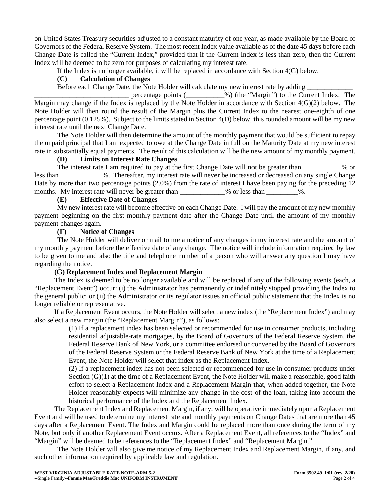on United States Treasury securities adjusted to a constant maturity of one year, as made available by the Board of Governors of the Federal Reserve System. The most recent Index value available as of the date 45 days before each Change Date is called the "Current Index," provided that if the Current Index is less than zero, then the Current Index will be deemed to be zero for purposes of calculating my interest rate.

If the Index is no longer available, it will be replaced in accordance with Section 4(G) below.

#### **(C) Calculation of Changes**

Before each Change Date, the Note Holder will calculate my new interest rate by adding <br>percentage points (2003) (the "Margin") to the Curr

\_\_\_\_\_\_\_\_\_\_\_\_\_\_\_\_\_\_\_\_\_\_\_\_\_\_\_ percentage points (\_\_\_\_\_\_\_\_\_\_\_%) (the "Margin") to the Current Index. The Margin may change if the Index is replaced by the Note Holder in accordance with Section 4(G)(2) below. The Note Holder will then round the result of the Margin plus the Current Index to the nearest one-eighth of one percentage point (0.125%). Subject to the limits stated in Section 4(D) below, this rounded amount will be my new interest rate until the next Change Date.

The Note Holder will then determine the amount of the monthly payment that would be sufficient to repay the unpaid principal that I am expected to owe at the Change Date in full on the Maturity Date at my new interest rate in substantially equal payments. The result of this calculation will be the new amount of my monthly payment.

## **(D) Limits on Interest Rate Changes**

The interest rate I am required to pay at the first Change Date will not be greater than  $\%$  or less than \_\_\_\_\_\_\_\_\_\_\_\_%. Thereafter, my interest rate will never be increased or decreased on any single Change Date by more than two percentage points (2.0%) from the rate of interest I have been paying for the preceding 12 months. My interest rate will never be greater than \_\_\_\_\_\_\_\_\_\_% or less than \_\_\_\_\_\_\_\_\_%.

#### **(E) Effective Date of Changes**

My new interest rate will become effective on each Change Date. I will pay the amount of my new monthly payment beginning on the first monthly payment date after the Change Date until the amount of my monthly payment changes again.

#### **(F) Notice of Changes**

The Note Holder will deliver or mail to me a notice of any changes in my interest rate and the amount of my monthly payment before the effective date of any change. The notice will include information required by law to be given to me and also the title and telephone number of a person who will answer any question I may have regarding the notice.

#### **(G) Replacement Index and Replacement Margin**

The Index is deemed to be no longer available and will be replaced if any of the following events (each, a "Replacement Event") occur: (i) the Administrator has permanently or indefinitely stopped providing the Index to the general public; or (ii) the Administrator or its regulator issues an official public statement that the Index is no longer reliable or representative.

If a Replacement Event occurs, the Note Holder will select a new index (the "Replacement Index") and may also select a new margin (the "Replacement Margin"), as follows:

(1) If a replacement index has been selected or recommended for use in consumer products, including residential adjustable-rate mortgages, by the Board of Governors of the Federal Reserve System, the Federal Reserve Bank of New York, or a committee endorsed or convened by the Board of Governors of the Federal Reserve System or the Federal Reserve Bank of New York at the time of a Replacement Event, the Note Holder will select that index as the Replacement Index.

(2) If a replacement index has not been selected or recommended for use in consumer products under Section  $(G)(1)$  at the time of a Replacement Event, the Note Holder will make a reasonable, good faith effort to select a Replacement Index and a Replacement Margin that, when added together, the Note Holder reasonably expects will minimize any change in the cost of the loan, taking into account the historical performance of the Index and the Replacement Index.

The Replacement Index and Replacement Margin, if any, will be operative immediately upon a Replacement Event and will be used to determine my interest rate and monthly payments on Change Dates that are more than 45 days after a Replacement Event. The Index and Margin could be replaced more than once during the term of my Note, but only if another Replacement Event occurs. After a Replacement Event, all references to the "Index" and "Margin" will be deemed to be references to the "Replacement Index" and "Replacement Margin."

The Note Holder will also give me notice of my Replacement Index and Replacement Margin, if any, and such other information required by applicable law and regulation.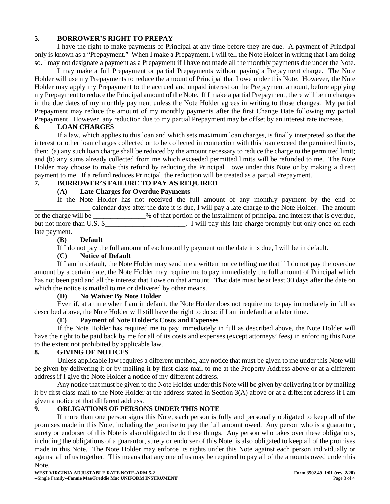## **5. BORROWER'S RIGHT TO PREPAY**

I have the right to make payments of Principal at any time before they are due. A payment of Principal only is known as a "Prepayment." When I make a Prepayment, I will tell the Note Holder in writing that I am doing so. I may not designate a payment as a Prepayment if I have not made all the monthly payments due under the Note.

I may make a full Prepayment or partial Prepayments without paying a Prepayment charge. The Note Holder will use my Prepayments to reduce the amount of Principal that I owe under this Note. However, the Note Holder may apply my Prepayment to the accrued and unpaid interest on the Prepayment amount, before applying my Prepayment to reduce the Principal amount of the Note. If I make a partial Prepayment, there will be no changes in the due dates of my monthly payment unless the Note Holder agrees in writing to those changes. My partial Prepayment may reduce the amount of my monthly payments after the first Change Date following my partial Prepayment. However, any reduction due to my partial Prepayment may be offset by an interest rate increase.

## **6. LOAN CHARGES**

If a law, which applies to this loan and which sets maximum loan charges, is finally interpreted so that the interest or other loan charges collected or to be collected in connection with this loan exceed the permitted limits, then: (a) any such loan charge shall be reduced by the amount necessary to reduce the charge to the permitted limit; and (b) any sums already collected from me which exceeded permitted limits will be refunded to me. The Note Holder may choose to make this refund by reducing the Principal I owe under this Note or by making a direct payment to me. If a refund reduces Principal, the reduction will be treated as a partial Prepayment.

## **7. BORROWER'S FAILURE TO PAY AS REQUIRED**

## **(A) Late Charges for Overdue Payments**

If the Note Holder has not received the full amount of any monthly payment by the end of \_\_\_\_\_\_\_\_\_\_\_\_\_\_\_\_ calendar days after the date it is due, I will pay a late charge to the Note Holder. The amount of the charge will be \_\_\_\_\_\_\_\_\_\_\_\_\_\_\_% of that portion of the installment of principal and interest that is overdue, but not more than U.S. \$\_\_\_\_\_\_\_\_\_\_\_\_\_\_\_\_\_\_\_\_\_\_. I will pay this late charge promptly but only once on each late payment.

#### **(B) Default**

If I do not pay the full amount of each monthly payment on the date it is due, I will be in default.

#### **(C) Notice of Default**

If I am in default, the Note Holder may send me a written notice telling me that if I do not pay the overdue amount by a certain date, the Note Holder may require me to pay immediately the full amount of Principal which has not been paid and all the interest that I owe on that amount. That date must be at least 30 days after the date on which the notice is mailed to me or delivered by other means.

#### **(D) No Waiver By Note Holder**

Even if, at a time when I am in default, the Note Holder does not require me to pay immediately in full as described above, the Note Holder will still have the right to do so if I am in default at a later time**.**

#### **(E) Payment of Note Holder's Costs and Expenses**

If the Note Holder has required me to pay immediately in full as described above, the Note Holder will have the right to be paid back by me for all of its costs and expenses (except attorneys' fees) in enforcing this Note to the extent not prohibited by applicable law.

#### **8. GIVING OF NOTICES**

Unless applicable law requires a different method, any notice that must be given to me under this Note will be given by delivering it or by mailing it by first class mail to me at the Property Address above or at a different address if I give the Note Holder a notice of my different address.

Any notice that must be given to the Note Holder under this Note will be given by delivering it or by mailing it by first class mail to the Note Holder at the address stated in Section 3(A) above or at a different address if I am given a notice of that different address.

# **9. OBLIGATIONS OF PERSONS UNDER THIS NOTE**

If more than one person signs this Note, each person is fully and personally obligated to keep all of the promises made in this Note, including the promise to pay the full amount owed. Any person who is a guarantor, surety or endorser of this Note is also obligated to do these things. Any person who takes over these obligations, including the obligations of a guarantor, surety or endorser of this Note, is also obligated to keep all of the promises made in this Note. The Note Holder may enforce its rights under this Note against each person individually or against all of us together. This means that any one of us may be required to pay all of the amounts owed under this Note.